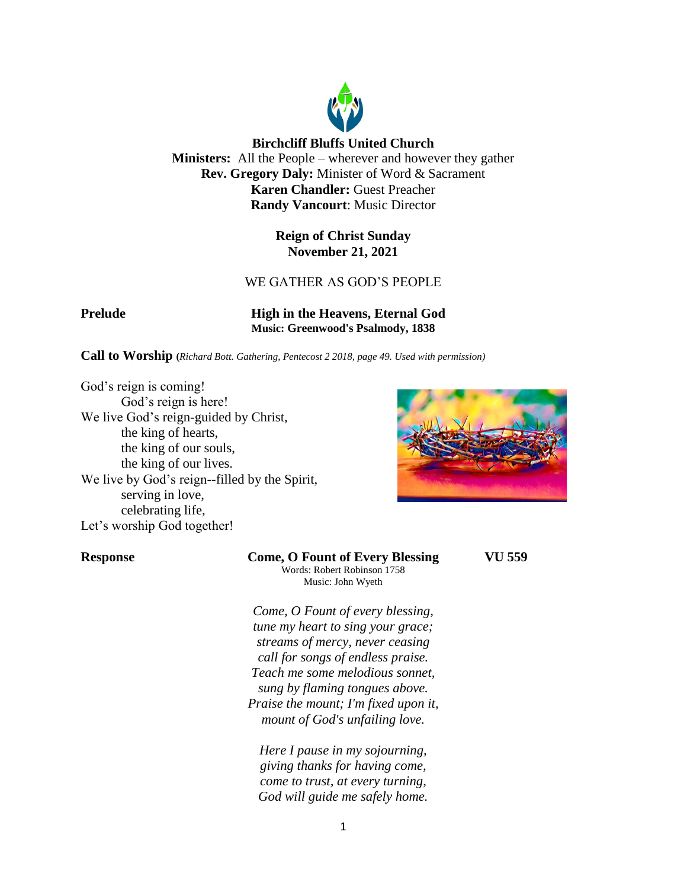

**Birchcliff Bluffs United Church Ministers:** All the People – wherever and however they gather **Rev. Gregory Daly:** Minister of Word & Sacrament **Karen Chandler:** Guest Preacher **Randy Vancourt**: Music Director

> **Reign of Christ Sunday November 21, 2021**

# WE GATHER AS GOD'S PEOPLE

**Prelude High in the Heavens, Eternal God Music: Greenwood's Psalmody, 1838**

**Call to Worship (***Richard Bott. Gathering, Pentecost 2 2018, page 49. Used with permission)*

God's reign is coming! God's reign is here! We live God's reign-guided by Christ, the king of hearts, the king of our souls, the king of our lives. We live by God's reign--filled by the Spirit, serving in love, celebrating life, Let's worship God together!



**Response Come, O Fount of Every Blessing VU 559** Words: Robert Robinson 1758 Music: John Wyeth

> *Come, O Fount of every blessing, tune my heart to sing your grace; streams of mercy, never ceasing call for songs of endless praise. Teach me some melodious sonnet, sung by flaming tongues above. Praise the mount; I'm fixed upon it, mount of God's unfailing love.*

*Here I pause in my sojourning, giving thanks for having come, come to trust, at every turning, God will guide me safely home.*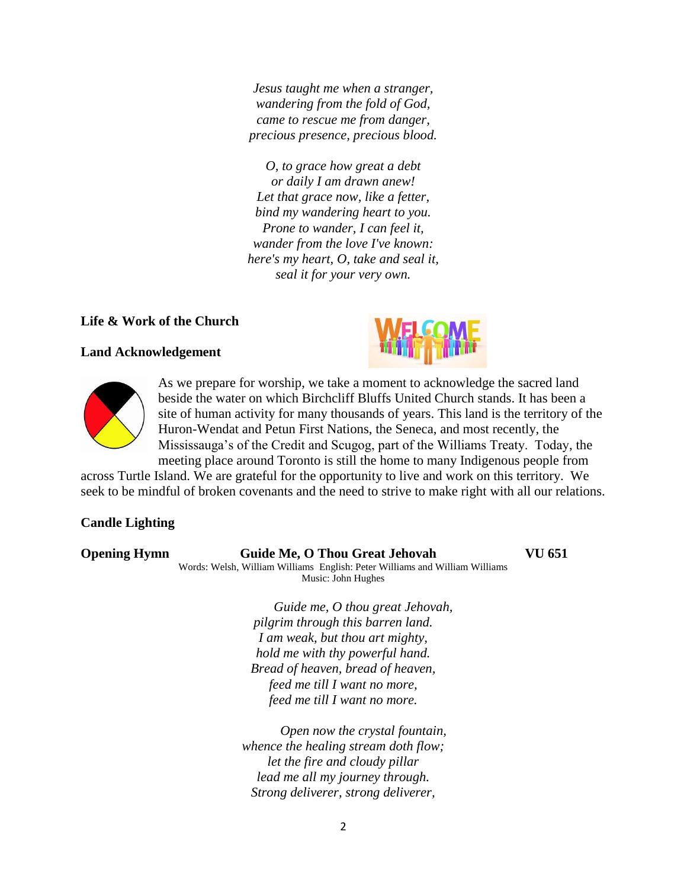*Jesus taught me when a stranger, wandering from the fold of God, came to rescue me from danger, precious presence, precious blood.*

*O, to grace how great a debt or daily I am drawn anew! Let that grace now, like a fetter, bind my wandering heart to you. Prone to wander, I can feel it, wander from the love I've known: here's my heart, O, take and seal it, seal it for your very own.*

# **Life & Work of the Church**

## **Land Acknowledgement**





As we prepare for worship, we take a moment to acknowledge the sacred land beside the water on which Birchcliff Bluffs United Church stands. It has been a site of human activity for many thousands of years. This land is the territory of the Huron-Wendat and Petun First Nations, the Seneca, and most recently, the Mississauga's of the Credit and Scugog, part of the Williams Treaty. Today, the meeting place around Toronto is still the home to many Indigenous people from

across Turtle Island. We are grateful for the opportunity to live and work on this territory. We seek to be mindful of broken covenants and the need to strive to make right with all our relations.

## **Candle Lighting**

| <b>Opening Hymn</b> | Guide Me, O Thou Great Jehovah<br>Words: Welsh, William Williams English: Peter Williams and William Williams<br>Music: John Hughes | VU 651 |
|---------------------|-------------------------------------------------------------------------------------------------------------------------------------|--------|
|                     | Guide me, O thou great Jehovah,                                                                                                     |        |
|                     | pilgrim through this barren land.                                                                                                   |        |
|                     | I am weak, but thou art mighty,                                                                                                     |        |
|                     | hold me with thy powerful hand.                                                                                                     |        |
|                     | Bread of heaven, bread of heaven,                                                                                                   |        |
|                     | feed me till I want no more,                                                                                                        |        |
|                     | feed me till I want no more.                                                                                                        |        |
|                     | $\mathcal{A}$ and $\mathcal{A}$ and $\mathcal{A}$ and $\mathcal{A}$                                                                 |        |

*Open now the crystal fountain, whence the healing stream doth flow; let the fire and cloudy pillar lead me all my journey through. Strong deliverer, strong deliverer,*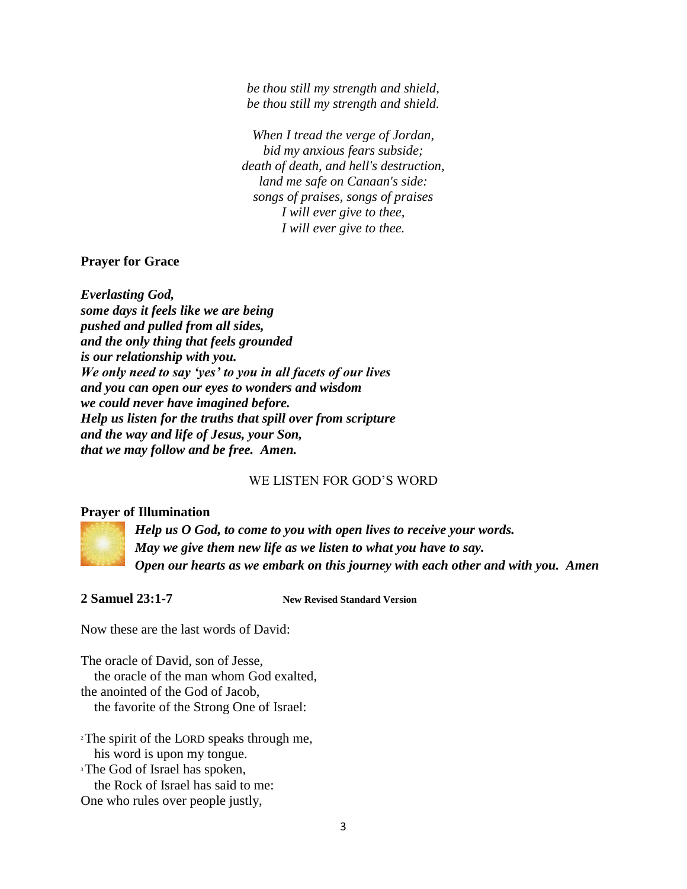*be thou still my strength and shield, be thou still my strength and shield.*

*When I tread the verge of Jordan, bid my anxious fears subside; death of death, and hell's destruction, land me safe on Canaan's side: songs of praises, songs of praises I will ever give to thee, I will ever give to thee.*

**Prayer for Grace**

*Everlasting God, some days it feels like we are being pushed and pulled from all sides, and the only thing that feels grounded is our relationship with you. We only need to say 'yes' to you in all facets of our lives and you can open our eyes to wonders and wisdom we could never have imagined before. Help us listen for the truths that spill over from scripture and the way and life of Jesus, your Son, that we may follow and be free. Amen.*

### WE LISTEN FOR GOD'S WORD

### **Prayer of Illumination**



*Help us O God, to come to you with open lives to receive your words. May we give them new life as we listen to what you have to say. Open our hearts as we embark on this journey with each other and with you. Amen*

**2 Samuel 23:1-7 New Revised Standard Version**

Now these are the last words of David:

The oracle of David, son of Jesse, the oracle of the man whom God exalted, the anointed of the God of Jacob, the favorite of the Strong One of Israel:

<sup>2</sup>The spirit of the LORD speaks through me, his word is upon my tongue. <sup>3</sup>The God of Israel has spoken, the Rock of Israel has said to me: One who rules over people justly,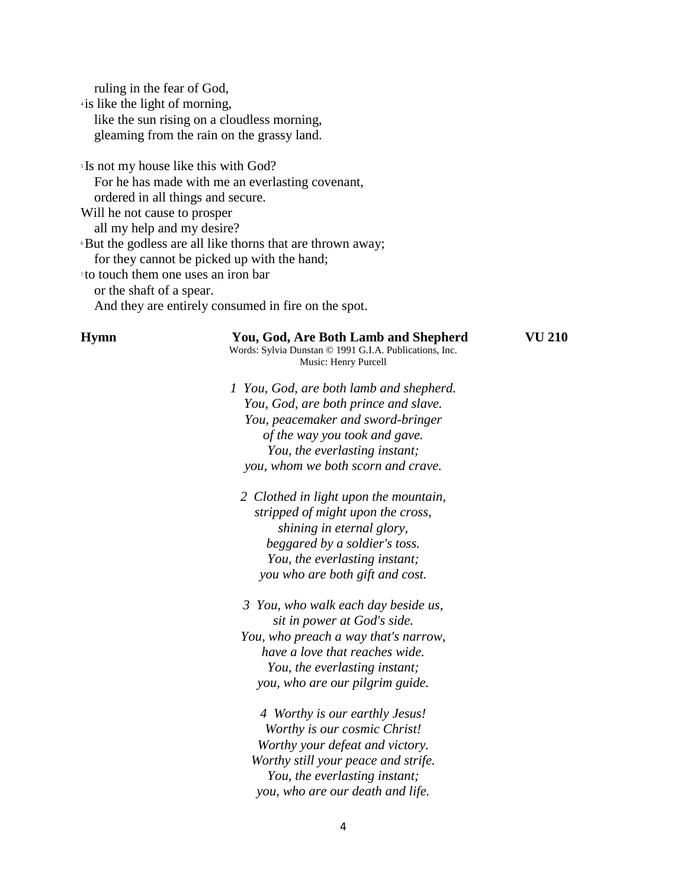ruling in the fear of God,

4 is like the light of morning, like the sun rising on a cloudless morning, gleaming from the rain on the grassy land.

<sup>5</sup> Is not my house like this with God? For he has made with me an everlasting covenant, ordered in all things and secure. Will he not cause to prosper all my help and my desire? <sup>6</sup>But the godless are all like thorns that are thrown away; for they cannot be picked up with the hand; 7 to touch them one uses an iron bar or the shaft of a spear. And they are entirely consumed in fire on the spot.

| <b>Hymn</b> | You, God, Are Both Lamb and Shepherd<br>Words: Sylvia Dunstan © 1991 G.I.A. Publications, Inc.<br>Music: Henry Purcell | VU 210 |
|-------------|------------------------------------------------------------------------------------------------------------------------|--------|
|             | 1 You, God, are both lamb and shepherd.                                                                                |        |
|             | You, God, are both prince and slave.                                                                                   |        |
|             | You, peacemaker and sword-bringer                                                                                      |        |
|             | of the way you took and gave.                                                                                          |        |
|             | You, the everlasting instant;                                                                                          |        |
|             | you, whom we both scorn and crave.                                                                                     |        |
|             | 2 Clothed in light upon the mountain,                                                                                  |        |
|             | stripped of might upon the cross,                                                                                      |        |
|             | shining in eternal glory,                                                                                              |        |
|             | beggared by a soldier's toss.                                                                                          |        |
|             | You, the everlasting instant;                                                                                          |        |
|             | you who are both gift and cost.                                                                                        |        |
|             | 3 You, who walk each day beside us,                                                                                    |        |
|             | sit in power at God's side.                                                                                            |        |
|             | You, who preach a way that's narrow,                                                                                   |        |
|             | have a love that reaches wide.                                                                                         |        |
|             | You, the everlasting instant;                                                                                          |        |
|             | you, who are our pilgrim guide.                                                                                        |        |
|             | 4 Worthy is our earthly Jesus!                                                                                         |        |
|             | Worthy is our cosmic Christ!                                                                                           |        |
|             | Worthy your defeat and victory.                                                                                        |        |
|             | Worthy still your peace and strife.                                                                                    |        |
|             | You, the everlasting instant;                                                                                          |        |
|             | you, who are our death and life.                                                                                       |        |
|             |                                                                                                                        |        |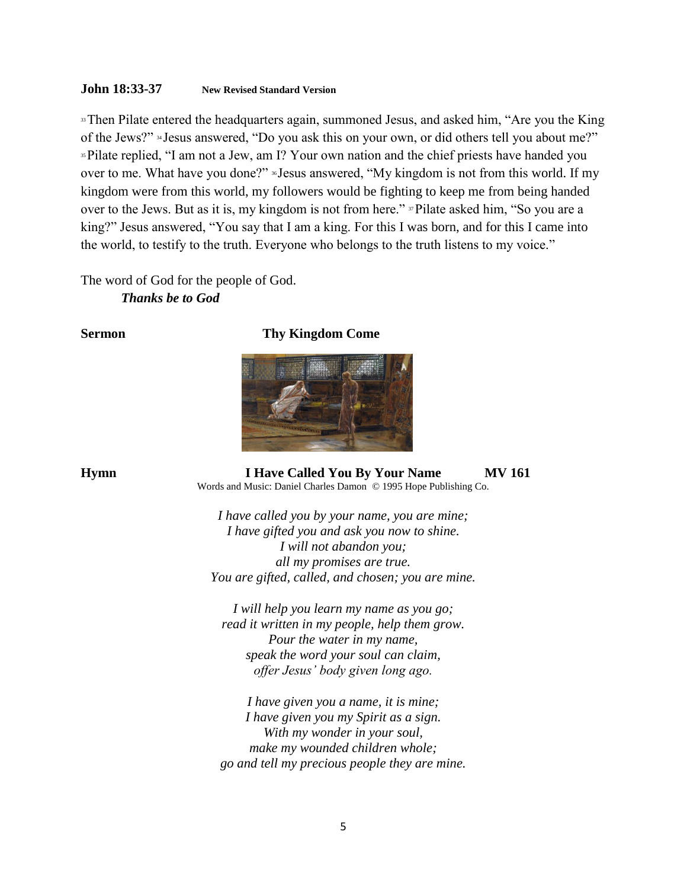## **John 18:33-37 New Revised Standard Version**

<sup>33</sup>Then Pilate entered the headquarters again, summoned Jesus, and asked him, "Are you the King" of the Jews?" <sup>34</sup> Jesus answered, "Do you ask this on your own, or did others tell you about me?" <sup>35</sup>Pilate replied, "I am not a Jew, am I? Your own nation and the chief priests have handed you over to me. What have you done?" <sup>36</sup> Jesus answered, "My kingdom is not from this world. If my kingdom were from this world, my followers would be fighting to keep me from being handed over to the Jews. But as it is, my kingdom is not from here." <sup>37</sup>Pilate asked him, "So you are a king?" Jesus answered, "You say that I am a king. For this I was born, and for this I came into the world, to testify to the truth. Everyone who belongs to the truth listens to my voice."

The word of God for the people of God. *Thanks be to God*

## **Sermon** Thy Kingdom Come



**Hymn I Have Called You By Your Name MV 161** Words and Music: Daniel Charles Damon © 1995 Hope Publishing Co.

> *I have called you by your name, you are mine; I have gifted you and ask you now to shine. I will not abandon you; all my promises are true. You are gifted, called, and chosen; you are mine.*

*I will help you learn my name as you go; read it written in my people, help them grow. Pour the water in my name, speak the word your soul can claim, offer Jesus' body given long ago.*

*I have given you a name, it is mine; I have given you my Spirit as a sign. With my wonder in your soul, make my wounded children whole; go and tell my precious people they are mine.*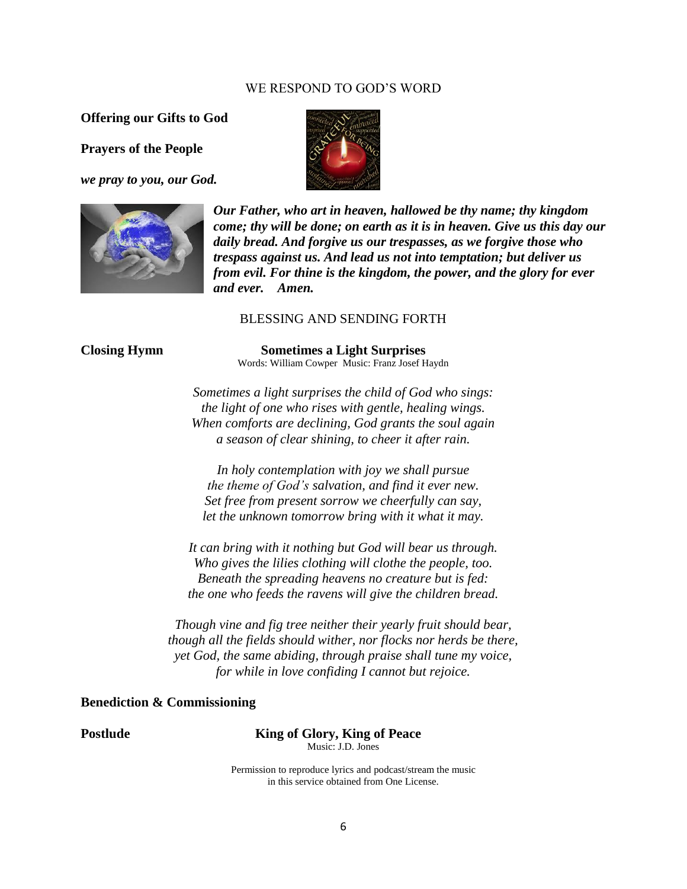#### WE RESPOND TO GOD'S WORD

**Offering our Gifts to God**

**Prayers of the People**

*we pray to you, our God.*





*Our Father, who art in heaven, hallowed be thy name; thy kingdom come; thy will be done; on earth as it is in heaven. Give us this day our daily bread. And forgive us our trespasses, as we forgive those who trespass against us. And lead us not into temptation; but deliver us from evil. For thine is the kingdom, the power, and the glory for ever and ever. Amen.*

#### BLESSING AND SENDING FORTH

**Closing Hymn Sometimes a Light Surprises** Words: William Cowper Music: Franz Josef Haydn

> *Sometimes a light surprises the child of God who sings: the light of one who rises with gentle, healing wings. When comforts are declining, God grants the soul again a season of clear shining, to cheer it after rain.*

*In holy contemplation with joy we shall pursue the theme of God's salvation, and find it ever new. Set free from present sorrow we cheerfully can say, let the unknown tomorrow bring with it what it may.*

*It can bring with it nothing but God will bear us through. Who gives the lilies clothing will clothe the people, too. Beneath the spreading heavens no creature but is fed: the one who feeds the ravens will give the children bread.*

*Though vine and fig tree neither their yearly fruit should bear, though all the fields should wither, nor flocks nor herds be there, yet God, the same abiding, through praise shall tune my voice, for while in love confiding I cannot but rejoice.*

## **Benediction & Commissioning**

**Postlude King of Glory, King of Peace** Music: J.D. Jones

> Permission to reproduce lyrics and podcast/stream the music in this service obtained from One License.